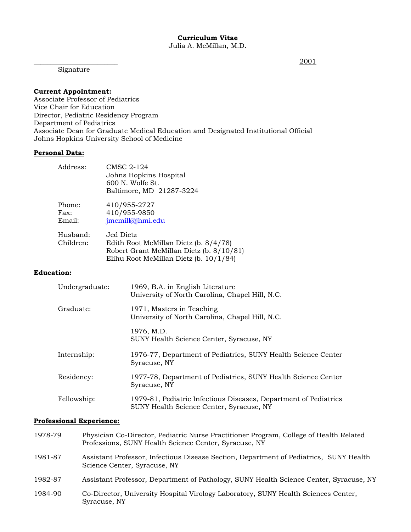Signature

 $\frac{2001}{2001}$ 

## **Current Appointment:**

Associate Professor of Pediatrics Vice Chair for Education Director, Pediatric Residency Program Department of Pediatrics Associate Dean for Graduate Medical Education and Designated Institutional Official Johns Hopkins University School of Medicine

#### **Personal Data:**

| Address:                 | <b>CMSC 2-124</b><br>Johns Hopkins Hospital<br>600 N. Wolfe St.<br>Baltimore, MD 21287-3224                                              |
|--------------------------|------------------------------------------------------------------------------------------------------------------------------------------|
| Phone:<br>Fax:<br>Email: | 410/955-2727<br>410/955-9850<br>jmcmill@jhmi.edu                                                                                         |
| Husband:<br>Children:    | Jed Dietz<br>Edith Root McMillan Dietz (b. 8/4/78)<br>Robert Grant McMillan Dietz (b. 8/10/81)<br>Elihu Root McMillan Dietz (b. 10/1/84) |

### **Education:**

| Undergraduate: | 1969, B.A. in English Literature<br>University of North Carolina, Chapel Hill, N.C.                          |
|----------------|--------------------------------------------------------------------------------------------------------------|
| Graduate:      | 1971, Masters in Teaching<br>University of North Carolina, Chapel Hill, N.C.                                 |
|                | 1976, M.D.<br>SUNY Health Science Center, Syracuse, NY                                                       |
| Internship:    | 1976-77, Department of Pediatrics, SUNY Health Science Center<br>Syracuse, NY                                |
| Residency:     | 1977-78, Department of Pediatrics, SUNY Health Science Center<br>Syracuse, NY                                |
| Fellowship:    | 1979-81, Pediatric Infectious Diseases, Department of Pediatrics<br>SUNY Health Science Center, Syracuse, NY |

## **Professional Experience:**

| 1978-79 | Physician Co-Director, Pediatric Nurse Practitioner Program, College of Health Related<br>Professions, SUNY Health Science Center, Syracuse, NY |
|---------|-------------------------------------------------------------------------------------------------------------------------------------------------|
| 1981-87 | Assistant Professor, Infectious Disease Section, Department of Pediatrics, SUNY Health<br>Science Center, Syracuse, NY                          |
| 1982-87 | Assistant Professor, Department of Pathology, SUNY Health Science Center, Syracuse, NY                                                          |
| 1984-90 | Co-Director, University Hospital Virology Laboratory, SUNY Health Sciences Center,<br>Syracuse, NY                                              |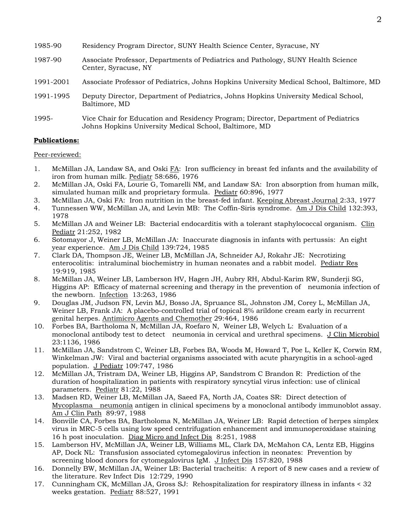- 1985-90 Residency Program Director, SUNY Health Science Center, Syracuse, NY
- 1987-90 Associate Professor, Departments of Pediatrics and Pathology, SUNY Health Science Center, Syracuse, NY
- 1991-2001 Associate Professor of Pediatrics, Johns Hopkins University Medical School, Baltimore, MD
- 1991-1995 Deputy Director, Department of Pediatrics, Johns Hopkins University Medical School, Baltimore, MD
- 1995- Vice Chair for Education and Residency Program; Director, Department of Pediatrics Johns Hopkins University Medical School, Baltimore, MD

#### **Publications:**

Peer-reviewed:

- 1. McMillan JA, Landaw SA, and Oski  $FA$ : Iron sufficiency in breast fed infants and the availability of iron from human milk. Pediatr 58:686, 1976
- 2. McMillan JA, Oski FA, Lourie G, Tomarelli NM, and Landaw SA: Iron absorption from human milk, simulated human milk and proprietary formula. Pediatr 60:896, 1977
- 3. McMillan JA, Oski FA: Iron nutrition in the breast-fed infant. Keeping Abreast Journal 2:33, 1977
- 4. Tunnessen WW, McMillan JA, and Levin MB: The Coffin-Siris syndrome. Am J Dis Child 132:393, 1978
- 5. McMillan JA and Weiner LB: Bacterial endocarditis with a tolerant staphylococcal organism. Clin Pediatr 21:252, 1982
- 6. Sotomayor J, Weiner LB, McMillan JA: Inaccurate diagnosis in infants with pertussis: An eight year experience. Am J Dis Child 139:724, 1985
- 7. Clark DA, Thompson JE, Weiner LB, McMillan JA, Schneider AJ, Rokahr JE: Necrotizing enterocolitis: intraluminal biochemistry in human neonates and a rabbit model. Pediatr Res 19:919, 1985
- 8. McMillan JA, Weiner LB, Lamberson HV, Hagen JH, Aubry RH, Abdul-Karim RW, Sunderji SG, Higgins AP: Efficacy of maternal screening and therapy in the prevention of neumonia infection of the newborn. Infection 13:263, 1986
- 9. Douglas JM, Judson FN, Levin MJ, Bosso JA, Spruance SL, Johnston JM, Corey L, McMillan JA, Weiner LB, Frank JA: A placebo-controlled trial of topical 8% arildone cream early in recurrent genital herpes. Antimicro Agents and Chemother 29:464, 1986
- 10. Forbes BA, Bartholoma N, McMillan JA, Roefaro N, Weiner LB, Welych L: Evaluation of a monoclonal antibody test to detect neumonia in cervical and urethral specimens. J Clin Microbiol 23:1136, 1986
- 11. McMillan JA, Sandstrom C, Weiner LB, Forbes BA, Woods M, Howard T, Poe L, Keller K, Corwin RM, Winkelman JW: Viral and bacterial organisms associated with acute pharyngitis in a school-aged population. J Pediatr 109:747, 1986
- 12. McMillan JA, Tristram DA, Weiner LB, Higgins AP, Sandstrom C Brandon R: Prediction of the duration of hospitalization in patients with respiratory syncytial virus infection: use of clinical parameters. Pediatr 81:22, 1988
- 13. Madsen RD, Weiner LB, McMillan JA, Saeed FA, North JA, Coates SR: Direct detection of Mycoplasma neumonia antigen in clinical specimens by a monoclonal antibody immunoblot assay. Am J Clin Path 89:97, 1988
- 14. Bonville CA, Forbes BA, Bartholoma N, McMillan JA, Weiner LB: Rapid detection of herpes simplex virus in MRC-5 cells using low speed centrifugation enhancement and immunoperoxidase staining 16 h post inoculation. Diag Micro and Infect Dis 8:251, 1988
- 15. Lamberson HV, McMillan JA, Weiner LB, Williams ML, Clark DA, McMahon CA, Lentz EB, Higgins AP, Dock NL: Transfusion associated cytomegalovirus infection in neonates: Prevention by screening blood donors for cytomegalovirus IgM. J Infect Dis 157:820, 1988
- 16. Donnelly BW, McMillan JA, Weiner LB: Bacterial tracheitis: A report of 8 new cases and a review of the literature. Rev Infect Dis 12:729, 1990
- 17. Cunningham CK, McMillan JA, Gross SJ: Rehospitalization for respiratory illness in infants < 32 weeks gestation. Pediatr 88:527, 1991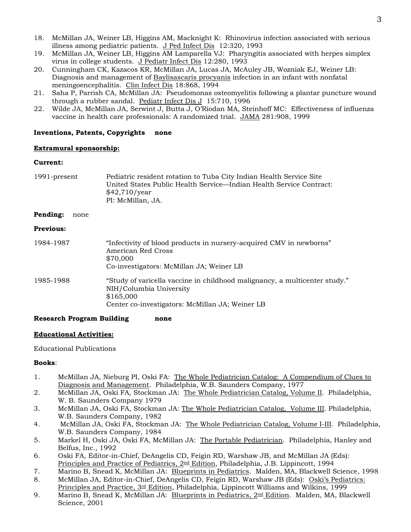- 18. McMillan JA, Weiner LB, Higgins AM, Macknight K: Rhinovirus infection associated with serious illness among pediatric patients. J Ped Infect Dis 12:320, 1993
- 19. McMillan JA, Weiner LB, Higgins AM Lamparella VJ: Pharyngitis associated with herpes simplex virus in college students. J Pediatr Infect Dis 12:280, 1993
- 20. Cunningham CK, Kazacos KR, McMillan JA, Lucas JA, McAuley JB, Wozniak EJ, Weiner LB: Diagnosis and management of Baylisascaris procyanis infection in an infant with nonfatal meningoencephalitis. Clin Infect Dis 18:868, 1994
- 21. Saha P, Parrish CA, McMillan JA: Pseudomonas osteomyelitis following a plantar puncture wound through a rubber sandal. Pediatr Infect Dis J 15:710, 1996
- 22. Wilde JA, McMillan JA, Serwint J, Butta J, O'Riodan MA, Steinhoff MC: Effectiveness of influenza vaccine in health care professionals: A randomized trial. JAMA 281:908, 1999

# **Inventions, Patents, Copyrights none**

# **Extramural sponsorship:**

# **Current:**

| 1991-present     | Pediatric resident rotation to Tuba City Indian Health Service Site<br>United States Public Health Service—Indian Health Service Contract:<br>\$42,710/year<br>PI: McMillan, JA. |  |
|------------------|----------------------------------------------------------------------------------------------------------------------------------------------------------------------------------|--|
| Pending:<br>none |                                                                                                                                                                                  |  |
| <b>Previous:</b> |                                                                                                                                                                                  |  |
| 1984-1987        | "Infectivity of blood products in nursery-acquired CMV in newborns"<br>American Red Cross<br>\$70,000<br>Co-investigators: McMillan JA; Weiner LB                                |  |
| 1985-1988        | "Study of varicella vaccine in childhood malignancy, a multicenter study."<br>NIH/Columbia University<br>\$165,000<br>Center co-investigators: McMillan JA; Weiner LB            |  |

## **Research Program Building none**

## **Educational Activities:**

Educational Publications

## **Books**:

- 1. McMillan JA, Nieburg PI, Oski FA: The Whole Pediatrician Catalog: A Compendium of Clues to Diagnosis and Management. Philadelphia, W.B. Saunders Company, 1977
- 2. McMillan JA, Oski FA, Stockman JA: The Whole Pediatrician Catalog, Volume II. Philadelphia, W. B. Saunders Company 1979
- 3. McMillan JA, Oski FA, Stockman JA: The Whole Pediatrician Catalog, Volume III. Philadelphia, W.B. Saunders Company, 1982
- 4. McMillan JA, Oski FA, Stockman JA: The Whole Pediatrician Catalog, Volume I-III. Philadelphia, W.B. Saunders Company, 1984
- 5. Markel H, Oski JA, Oski FA, McMillan JA: The Portable Pediatrician. Philadelphia, Hanley and Belfus, Inc., 1992
- 6. Oski FA, Editor-in-Chief, DeAngelis CD, Feigin RD, Warshaw JB, and McMillan JA (Eds): Principles and Practice of Pediatrics, 2<sup>nd</sup> Edition, Philadelphia, J.B. Lippincott, 1994
- 7. Marino B, Snead K, McMillan JA: Blueprints in Pediatrics. Malden, MA, Blackwell Science, 1998
- 8. McMillan JA, Editor-in-Chief, DeAngelis CD, Feigin RD, Warshaw JB (Eds): Oski's Pediatrics: Principles and Practice, 3rd Edition, Philadelphia, Lippincott Williams and Wilkins, 1999
- 9. Marino B, Snead K, McMillan JA: Blueprints in Pediatrics,  $2<sup>nd</sup>$  Edition. Malden, MA, Blackwell Science, 2001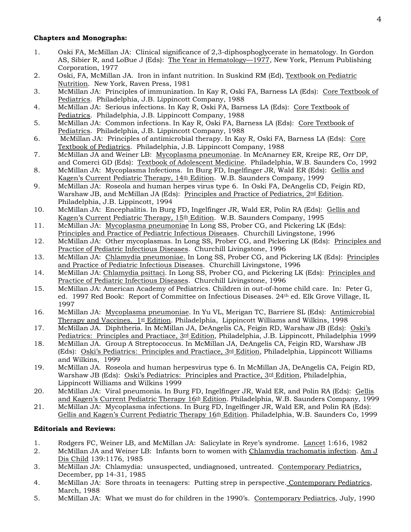## **Chapters and Monographs:**

- 1. Oski FA, McMillan JA: Clinical significance of 2,3-diphosphoglycerate in hematology. In Gordon AS, Sibier R, and LoBue J (Eds): The Year in Hematology—1977, New York, Plenum Publishing Corporation, 1977
- 2. Oski, FA, McMillan JA. Iron in infant nutrition. In Suskind RM (Ed), Textbook on Pediatric Nutrition. New York, Raven Press, 1981
- 3. McMillan JA: Principles of immunization. In Kay R, Oski FA, Barness LA (Eds): Core Textbook of Pediatrics. Philadelphia, J.B. Lippincott Company, 1988
- 4. McMillan JA: Serious infections. In Kay R, Oski FA, Barness LA (Eds): Core Textbook of Pediatrics. Philadelphia, J.B. Lippincott Company, 1988
- 5. McMillan JA: Common infections. In Kay R, Oski FA, Barness LA (Eds): Core Textbook of Pediatrics. Philadelphia, J.B. Lippincott Company, 1988
- 6. McMillan JA: Principles of antimicrobial therapy. In Kay R, Oski FA, Barness LA (Eds): Core Textbook of Pediatrics. Philadelphia, J.B. Lippincott Company, 1988
- 7. McMillan JA and Weiner LB: Mycoplasma pneumoniae. In McAnarney ER, Kreipe RE, Orr DP, and Comerci GD (Eds): Textbook of Adolescent Medicine. Philadelphia, W.B. Saunders Co, 1992
- 8. McMillan JA: Mycoplasma Infections. In Burg FD, Ingelfinger JR, Wald ER (Eds): Gellis and Kagen's Current Pediatric Therapy, 14<sup>th</sup> Edition. W.B. Saunders Company, 1999
- 9. McMillan JA: Roseola and human herpes virus type 6. In Oski FA, DeAngelis CD, Feigin RD, Warshaw JB, and McMillan JA (Eds): Principles and Practice of Pediatrics,  $2^{\text{nd}}$  Edition. Philadelphia, J.B. Lippincott, 1994
- 10. McMillan JA: Encephalitis. In Burg FD, Ingelfinger JR, Wald ER, Polin RA (Eds): Gellis and Kagen's Current Pediatric Therapy, 15<sup>th</sup> Edition. W.B. Saunders Company, 1995
- 11. McMillan JA: Mycoplasma pneumoniae In Long SS, Prober CG, and Pickering LK (Eds): Principles and Practice of Pediatric Infectious Diseases. Churchill Livingstone, 1996
- 12. McMillan JA: Other mycoplasmas. In Long SS, Prober CG, and Pickering LK (Eds): Principles and Practice of Pediatric Infectious Diseases. Churchill Livingstone, 1996
- 13. McMillan JA: Chlamydia pneumoniae. In Long SS, Prober CG, and Pickering LK (Eds): Principles and Practice of Pediatric Infectious Diseases. Churchill Livingstone, 1996
- 14. McMillan JA: Chlamydia psittaci. In Long SS, Prober CG, and Pickering LK (Eds): Principles and Practice of Pediatric Infectious Diseases. Churchill Livingstone, 1996
- 15. McMillan JA: American Academy of Pediatrics. Children in out-of-home child care. In: Peter G, ed. 1997 Red Book: Report of Committee on Infectious Diseases. 24th ed. Elk Grove Village, IL 1997
- 16. McMillan JA: Mycoplasma pneumoniae. In Yu VL, Merigan TC, Barriere SL (Eds): Antimicrobial Therapy and Vaccines.  $1$ <sup>st</sup> Edition. Philadelphia, Lippincott Williams and Wilkins, 1998
- 17. McMillan JA. Diphtheria. In McMillan JA, DeAngelis CA, Feigin RD, Warshaw JB (Eds): Oski's Pediatrics: Principles and Practiace, 3<sup>rd</sup> Edition, Philadelphia, J.B. Lippincott, Philadelphia 1999
- 18. McMillan JA. Group A Streptococcus. In McMillan JA, DeAngelis CA, Feigin RD, Warshaw JB (Eds): Oski's Pediatrics: Principles and Practiace, 3rd Edition, Philadelphia, Lippincott Williams and Wilkins, 1999
- 19. McMillan JA. Roseola and human herpesvirus type 6. In McMillan JA, DeAngelis CA, Feigin RD, Warshaw JB (Eds): Oski's Pediatrics: Principles and Practice,  $3rd$  Edition, Philadelphia, Lippincott Williams and Wilkins 1999
- 20. McMillan JA: Viral pneumonia. In Burg FD, Ingelfinger JR, Wald ER, and Polin RA (Eds): Gellis and Kagen's Current Pediatric Therapy 16<sup>th</sup> Edition. Philadelphia, W.B. Saunders Company, 1999
- 21. McMillan JA: Mycoplasma infections. In Burg FD, Ingelfinger JR, Wald ER, and Polin RA (Eds): Gellis and Kagen's Current Pediatric Therapy 16<sup>th</sup> Edition. Philadelphia, W.B. Saunders Co, 1999

## **Editorials and Reviews:**

- 1. Rodgers FC, Weiner LB, and McMillan JA: Salicylate in Reye's syndrome. Lancet 1:616, 1982
- 2. McMillan JA and Weiner LB: Infants born to women with Chlamydia trachomatis infection. Am J Dis Child 139:1176, 1985
- 3. McMillan JA: Chlamydia: unsuspected, undiagnosed, untreated. Contemporary Pediatrics, December, pp 14-31, 1985
- 4. McMillan JA: Sore throats in teenagers: Putting strep in perspective. Contemporary Pediatrics, March, 1988
- 5. McMillan JA: What we must do for children in the 1990's. Contemporary Pediatrics, July, 1990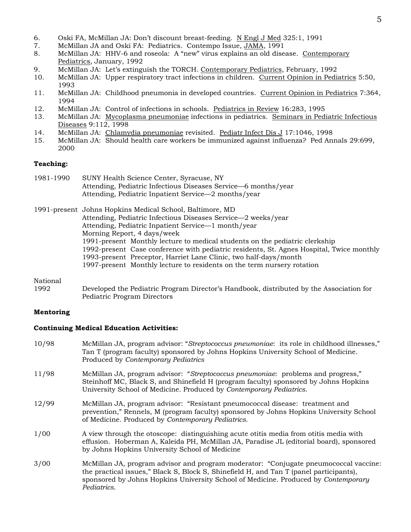- 6. Oski FA, McMillan JA: Don't discount breast-feeding. N Engl J Med 325:1, 1991
- 7. McMillan JA and Oski FA: Pediatrics. Contempo Issue, JAMA, 1991
- 8. McMillan JA: HHV-6 and roseola: A "new" virus explains an old disease. Contemporary Pediatrics, January, 1992
- 9. McMillan JA: Let's extinguish the TORCH. Contemporary Pediatrics, February, 1992
- 10. McMillan JA: Upper respiratory tract infections in children. Current Opinion in Pediatrics 5:50, 1993
- 11. McMillan JA: Childhood pneumonia in developed countries. Current Opinion in Pediatrics 7:364, 1994
- 12. McMillan JA: Control of infections in schools. Pediatrics in Review 16:283, 1995
- 13. McMillan JA: Mycoplasma pneumoniae infections in pediatrics. Seminars in Pediatric Infectious Diseases 9:112, 1998
- 14. McMillan JA: Chlamydia pneumoniae revisited. Pediatr Infect Dis J 17:1046, 1998
- 15. McMillan JA: Should health care workers be immunized against influenza? Ped Annals 29:699, 2000

#### **Teaching:**

1981-1990 SUNY Health Science Center, Syracuse, NY Attending, Pediatric Infectious Diseases Service—6 months/year Attending, Pediatric Inpatient Service—2 months/year

1991-present Johns Hopkins Medical School, Baltimore, MD Attending, Pediatric Infectious Diseases Service—2 weeks/year Attending, Pediatric Inpatient Service—1 month/year Morning Report, 4 days/week 1991-present Monthly lecture to medical students on the pediatric clerkship 1992-present Case conference with pediatric residents, St. Agnes Hospital, Twice monthly 1993-present Preceptor, Harriet Lane Clinic, two half-days/month 1997-present Monthly lecture to residents on the term nursery rotation

# National<br>1992

Developed the Pediatric Program Director's Handbook, distributed by the Association for Pediatric Program Directors

#### **Mentoring**

#### **Continuing Medical Education Activities:**

- 10/98 McMillan JA, program advisor: "*Streptococcus pneumoniae*: its role in childhood illnesses," Tan T (program faculty) sponsored by Johns Hopkins University School of Medicine. Produced by *Contemporary Pediatrics*
- 11/98 McMillan JA, program advisor: "*Streptococcus pneumoniae*: problems and progress," Steinhoff MC, Black S, and Shinefield H (program faculty) sponsored by Johns Hopkins University School of Medicine. Produced by *Contemporary Pediatrics*.
- 12/99 McMillan JA, program advisor: "Resistant pneumococcal disease: treatment and prevention," Rennels, M (program faculty) sponsored by Johns Hopkins University School of Medicine. Produced by *Contemporary Pediatrics*.
- 1/00 A view through the otoscope: distinguishing acute otitis media from otitis media with effusion. Hoberman A, Kaleida PH, McMillan JA, Paradise JL (editorial board), sponsored by Johns Hopkins University School of Medicine
- 3/00 McMillan JA, program advisor and program moderator: "Conjugate pneumococcal vaccine: the practical issues," Black S, Block S, Shinefield H, and Tan T (panel participants), sponsored by Johns Hopkins University School of Medicine. Produced by *Contemporary Pediatrics*.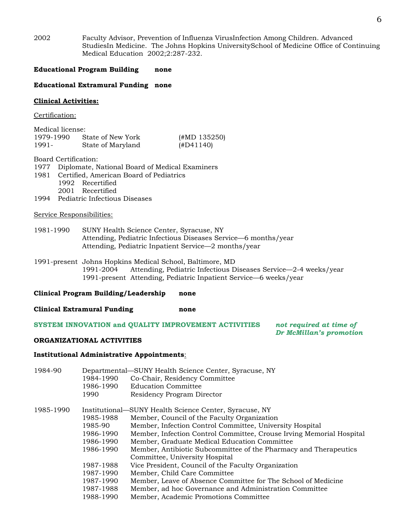2002 Faculty Advisor, Prevention of Influenza VirusInfection Among Children. Advanced StudiesIn Medicine. The Johns Hopkins UniversitySchool of Medicine Office of Continuing Medical Education 2002;2:287-232.

#### **Educational Program Building none**

#### **Educational Extramural Funding none**

#### **Clinical Activities:**

Certification:

| Medical license: |                   |              |
|------------------|-------------------|--------------|
| 1979-1990        | State of New York | (HMD 135250) |
| 1991-            | State of Maryland | (HD41140)    |

Board Certification:

| 1977 Diplomate, National Board of Medical Examiners |
|-----------------------------------------------------|
|-----------------------------------------------------|

- 1981 Certified, American Board of Pediatrics
	- 1992 Recertified
	- 2001 Recertified
- 1994 Pediatric Infectious Diseases

## Service Responsibilities:

1981-1990 SUNY Health Science Center, Syracuse, NY Attending, Pediatric Infectious Diseases Service—6 months/year Attending, Pediatric Inpatient Service—2 months/year

1991-present Johns Hopkins Medical School, Baltimore, MD 1991-2004 Attending, Pediatric Infectious Diseases Service—2-4 weeks/year 1991-present Attending, Pediatric Inpatient Service—6 weeks/year

#### **Clinical Program Building/Leadership none**

**Clinical Extramural Funding none** 

#### **SYSTEM INNOVATION and QUALITY IMPROVEMENT ACTIVITIES** *not required at time of*

 *Dr McMillan's promotion*

#### **ORGANIZATIONAL ACTIVITIES**

## **Institutional Administrative Appointments**:

| 1984-90   |           | Departmental—SUNY Health Science Center, Syracuse, NY                |
|-----------|-----------|----------------------------------------------------------------------|
|           | 1984-1990 | Co-Chair, Residency Committee                                        |
|           | 1986-1990 | <b>Education Committee</b>                                           |
|           | 1990      | Residency Program Director                                           |
| 1985-1990 |           | Institutional—SUNY Health Science Center, Syracuse, NY               |
|           | 1985-1988 | Member, Council of the Faculty Organization                          |
|           | 1985-90   | Member, Infection Control Committee, University Hospital             |
|           | 1986-1990 | Member, Infection Control Committee, Crouse Irving Memorial Hospital |
|           | 1986-1990 | Member, Graduate Medical Education Committee                         |
|           | 1986-1990 | Member, Antibiotic Subcommittee of the Pharmacy and Therapeutics     |
|           |           | Committee, University Hospital                                       |
|           | 1987-1988 | Vice President, Council of the Faculty Organization                  |
|           | 1987-1990 | Member, Child Care Committee                                         |
|           | 1987-1990 | Member, Leave of Absence Committee for The School of Medicine        |
|           | 1987-1988 | Member, ad hoc Governance and Administration Committee               |
|           | 1988-1990 | Member, Academic Promotions Committee                                |
|           |           |                                                                      |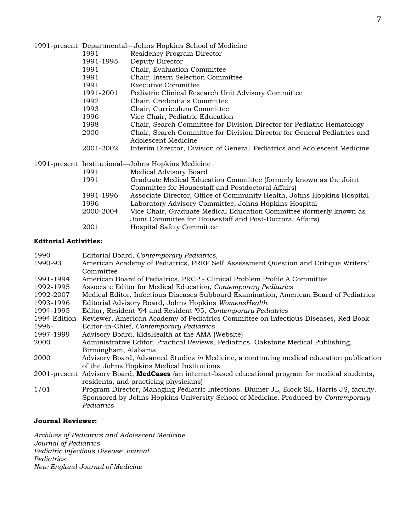|           | 1991-present Departmental-Johns Hopkins School of Medicine                                      |
|-----------|-------------------------------------------------------------------------------------------------|
| 1991-     | Residency Program Director                                                                      |
| 1991-1995 | Deputy Director                                                                                 |
| 1991      | Chair, Evaluation Committee                                                                     |
| 1991      | Chair, Intern Selection Committee                                                               |
| 1991      | Executive Committee                                                                             |
| 1991-2001 | Pediatric Clinical Research Unit Advisory Committee                                             |
| 1992      | Chair, Credentials Committee                                                                    |
| 1993      | Chair, Curriculum Committee                                                                     |
| 1996      | Vice Chair, Pediatric Education                                                                 |
| 1998      | Chair, Search Committee for Division Director for Pediatric Hematology                          |
| 2000      | Chair, Search Committee for Division Director for General Pediatrics and<br>Adolescent Medicine |
| 2001-2002 | Interim Director, Division of General Pediatrics and Adolescent Medicine                        |
|           | 1991-present Institutional—Johns Hopkins Medicine                                               |
| 1991      | Medical Advisory Board                                                                          |
| 1991      | Graduate Medical Education Committee (formerly known as the Joint                               |
|           | Committee for Housestaff and Postdoctoral Affairs)                                              |
| 1991-1996 | Associate Director, Office of Community Health, Johns Hopkins Hospital                          |
| 1996      | Laboratory Advisory Committee, Johns Hopkins Hospital                                           |
| 2000-2004 | Vice Chair, Graduate Medical Education Committee (formerly known as                             |
|           | Joint Committee for Housestaff and Post-Doctoral Affairs)                                       |
| 2001      | Hospital Safety Committee                                                                       |

## **Editorial Activities:**

| 1990         | Editorial Board, Contemporary Pediatrics,                                                          |
|--------------|----------------------------------------------------------------------------------------------------|
| 1990-93      | American Academy of Pediatrics, PREP Self Assessment Question and Critique Writers'                |
|              | Committee                                                                                          |
| 1991-1994    | American Board of Pediatrics, PRCP - Clinical Problem Profile A Committee                          |
| 1992-1995    | Associate Editor for Medical Education, Contemporary Pediatrics                                    |
| 1992-2007    | Medical Editor, Infectious Diseases Subboard Examination, American Board of Pediatrics             |
| 1993-1996    | Editorial Advisory Board, Johns Hopkins WomensHealth                                               |
| 1994-1995    | Editor, Resident '94 and Resident '95, Contemporary Pediatrics                                     |
| 1994 Edition | Reviewer, American Academy of Pediatrics Committee on Infectious Diseases, Red Book                |
| 1996-        | Editor-in-Chief, Contemporary Pediatrics                                                           |
| 1997-1999    | Advisory Board, KidsHealth at the AMA (Website)                                                    |
| 2000         | Administrative Editor, Practical Reviews, Pediatrics. Oakstone Medical Publishing,                 |
|              | Birmingham, Alabama                                                                                |
| 2000         | Advisory Board, Advanced Studies in Medicine, a continuing medical education publication           |
|              | of the Johns Hopkins Medical Institutions                                                          |
|              | 2001-present Advisory Board, MedCases (an internet-based educational program for medical students, |
|              | residents, and practicing physicians)                                                              |
| 1/01         | Program Director, Managing Pediatric Infections. Blumer JL, Block SL, Harris JS, faculty.          |
|              | Sponsored by Johns Hopkins University School of Medicine. Produced by Contemporary                 |
|              | Pediatrics                                                                                         |

## **Journal Reviewer:**

*Archives of Pediatrics and Adolescent Medicine Journal of Pediatrics Pediatric Infectious Disease Journal Pediatrics New England Journal of Medicine*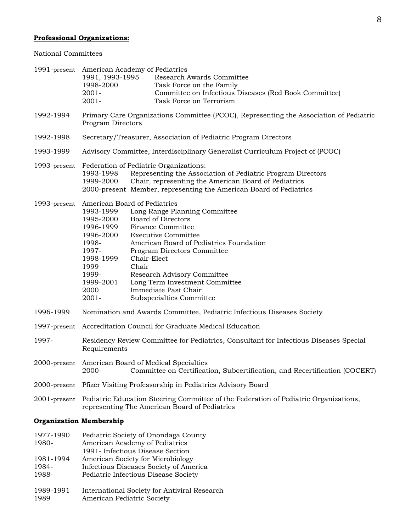# **Professional Organizations:**

## National Committees

|                                          | 1991, 1993-1995<br>1998-2000<br>$2001 -$<br>2001-                                                                                                                                         | 1991-present American Academy of Pediatrics<br>Research Awards Committee<br>Task Force on the Family<br>Committee on Infectious Diseases (Red Book Committee)<br>Task Force on Terrorism                                                                                                                                                    |
|------------------------------------------|-------------------------------------------------------------------------------------------------------------------------------------------------------------------------------------------|---------------------------------------------------------------------------------------------------------------------------------------------------------------------------------------------------------------------------------------------------------------------------------------------------------------------------------------------|
| 1992-1994                                | Primary Care Organizations Committee (PCOC), Representing the Association of Pediatric<br>Program Directors                                                                               |                                                                                                                                                                                                                                                                                                                                             |
| 1992-1998                                | Secretary/Treasurer, Association of Pediatric Program Directors                                                                                                                           |                                                                                                                                                                                                                                                                                                                                             |
| 1993-1999                                | Advisory Committee, Interdisciplinary Generalist Curriculum Project of (PCOC)                                                                                                             |                                                                                                                                                                                                                                                                                                                                             |
| 1993-present                             | 1993-1998<br>1999-2000                                                                                                                                                                    | Federation of Pediatric Organizations:<br>Representing the Association of Pediatric Program Directors<br>Chair, representing the American Board of Pediatrics<br>2000-present Member, representing the American Board of Pediatrics                                                                                                         |
| 1993-present                             | American Board of Pediatrics<br>1993-1999<br>1995-2000<br>1996-1999<br>1996-2000<br>1998-<br>1997-<br>1998-1999<br>1999<br>1999-<br>1999-2001<br>2000<br>$2001 -$                         | Long Range Planning Committee<br><b>Board of Directors</b><br><b>Finance Committee</b><br><b>Executive Committee</b><br>American Board of Pediatrics Foundation<br>Program Directors Committee<br>Chair-Elect<br>Chair<br>Research Advisory Committee<br>Long Term Investment Committee<br>Immediate Past Chair<br>Subspecialties Committee |
| 1996-1999                                | Nomination and Awards Committee, Pediatric Infectious Diseases Society                                                                                                                    |                                                                                                                                                                                                                                                                                                                                             |
| 1997-present                             | Accreditation Council for Graduate Medical Education                                                                                                                                      |                                                                                                                                                                                                                                                                                                                                             |
| 1997-                                    | Residency Review Committee for Pediatrics, Consultant for Infectious Diseases Special<br>Requirements                                                                                     |                                                                                                                                                                                                                                                                                                                                             |
|                                          | 2000-present American Board of Medical Specialties<br>Committee on Certification, Subcertification, and Recertification (COCERT)<br>2000-                                                 |                                                                                                                                                                                                                                                                                                                                             |
|                                          | 2000-present Pfizer Visiting Professorship in Pediatrics Advisory Board                                                                                                                   |                                                                                                                                                                                                                                                                                                                                             |
|                                          | 2001-present Pediatric Education Steering Committee of the Federation of Pediatric Organizations,<br>representing The American Board of Pediatrics                                        |                                                                                                                                                                                                                                                                                                                                             |
| <b>Organization Membership</b>           |                                                                                                                                                                                           |                                                                                                                                                                                                                                                                                                                                             |
| 1977-1990<br>1980-<br>1981-1994<br>1984- | Pediatric Society of Onondaga County<br>American Academy of Pediatrics<br>1991- Infectious Disease Section<br>American Society for Microbiology<br>Infectious Diseases Society of America |                                                                                                                                                                                                                                                                                                                                             |

1988- Pediatric Infectious Disease Society

1989-1991 International Society for Antiviral Research

1989 American Pediatric Society